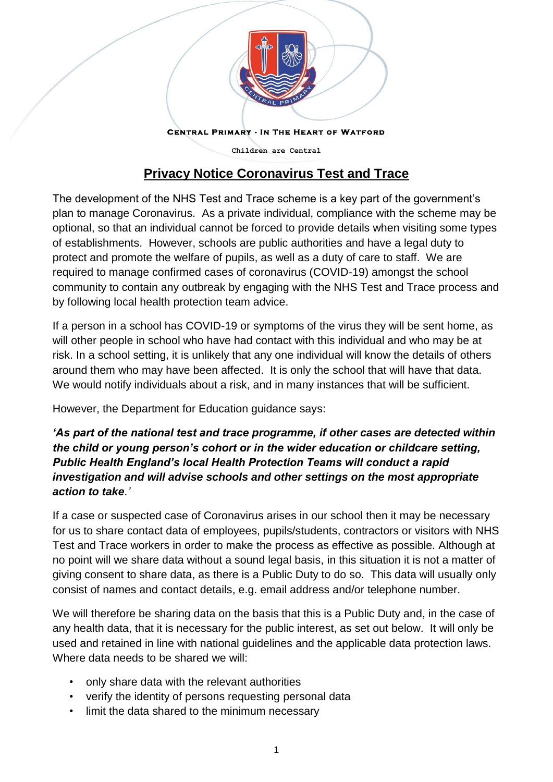

**CENTRAL PRIMARY - IN THE HEART OF WATFORD** 

**Children are Central**

## **Privacy Notice Coronavirus Test and Trace**

The development of the NHS Test and Trace scheme is a key part of the government's plan to manage Coronavirus. As a private individual, compliance with the scheme may be optional, so that an individual cannot be forced to provide details when visiting some types of establishments. However, schools are public authorities and have a legal duty to protect and promote the welfare of pupils, as well as a duty of care to staff. We are required to manage confirmed cases of coronavirus (COVID-19) amongst the school community to contain any outbreak by engaging with the NHS Test and Trace process and by following local health protection team advice.

If a person in a school has COVID-19 or symptoms of the virus they will be sent home, as will other people in school who have had contact with this individual and who may be at risk. In a school setting, it is unlikely that any one individual will know the details of others around them who may have been affected. It is only the school that will have that data. We would notify individuals about a risk, and in many instances that will be sufficient.

However, the Department for Education guidance says:

*'As part of the national test and trace programme, if other cases are detected within the child or young person's cohort or in the wider education or childcare setting, Public Health England's local Health Protection Teams will conduct a rapid investigation and will advise schools and other settings on the most appropriate action to take.'*

If a case or suspected case of Coronavirus arises in our school then it may be necessary for us to share contact data of employees, pupils/students, contractors or visitors with NHS Test and Trace workers in order to make the process as effective as possible. Although at no point will we share data without a sound legal basis, in this situation it is not a matter of giving consent to share data, as there is a Public Duty to do so. This data will usually only consist of names and contact details, e.g. email address and/or telephone number.

We will therefore be sharing data on the basis that this is a Public Duty and, in the case of any health data, that it is necessary for the public interest, as set out below. It will only be used and retained in line with national guidelines and the applicable data protection laws. Where data needs to be shared we will:

- only share data with the relevant authorities
- verify the identity of persons requesting personal data
- limit the data shared to the minimum necessary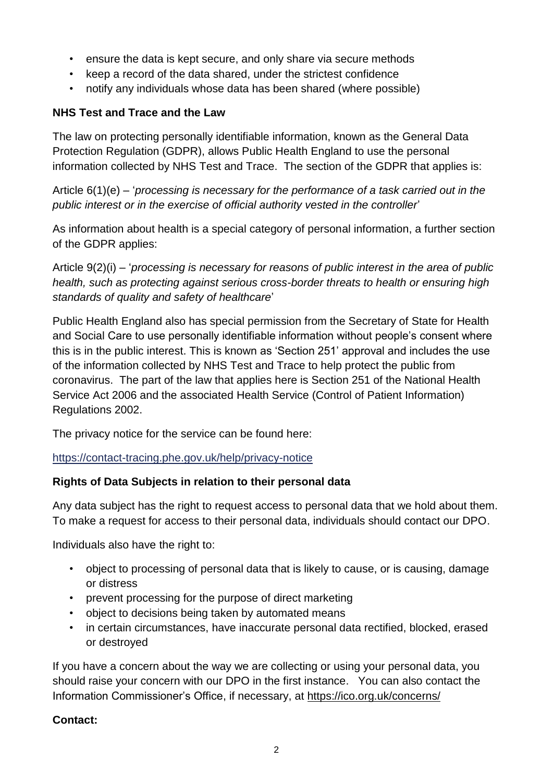- ensure the data is kept secure, and only share via secure methods
- keep a record of the data shared, under the strictest confidence
- notify any individuals whose data has been shared (where possible)

## **NHS Test and Trace and the Law**

The law on protecting personally identifiable information, known as the General Data Protection Regulation (GDPR), allows Public Health England to use the personal information collected by NHS Test and Trace. The section of the GDPR that applies is:

Article 6(1)(e) – '*processing is necessary for the performance of a task carried out in the public interest or in the exercise of official authority vested in the controller*'

As information about health is a special category of personal information, a further section of the GDPR applies:

Article 9(2)(i) – '*processing is necessary for reasons of public interest in the area of public health, such as protecting against serious cross-border threats to health or ensuring high standards of quality and safety of healthcare*'

Public Health England also has special permission from the Secretary of State for Health and Social Care to use personally identifiable information without people's consent where this is in the public interest. This is known as 'Section 251' approval and includes the use of the information collected by NHS Test and Trace to help protect the public from coronavirus. The part of the law that applies here is Section 251 of the National Health Service Act 2006 and the associated Health Service (Control of Patient Information) Regulations 2002.

The privacy notice for the service can be found here:

<https://contact-tracing.phe.gov.uk/help/privacy-notice>

## **Rights of Data Subjects in relation to their personal data**

Any data subject has the right to request access to personal data that we hold about them. To make a request for access to their personal data, individuals should contact our DPO.

Individuals also have the right to:

- object to processing of personal data that is likely to cause, or is causing, damage or distress
- prevent processing for the purpose of direct marketing
- object to decisions being taken by automated means
- in certain circumstances, have inaccurate personal data rectified, blocked, erased or destroyed

If you have a concern about the way we are collecting or using your personal data, you should raise your concern with our DPO in the first instance. You can also contact the Information Commissioner's Office, if necessary, at<https://ico.org.uk/concerns/>

## **Contact:**